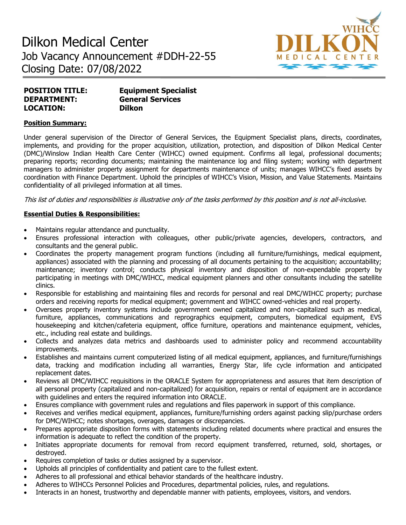# Dilkon Medical Center Job Vacancy Announcement #DDH-22-55 Closing Date: 07/08/2022



| <b>POSITION TITLE:</b> | <b>Equipment Specialist</b> |
|------------------------|-----------------------------|
| <b>DEPARTMENT:</b>     | <b>General Services</b>     |
| <b>LOCATION:</b>       | <b>Dilkon</b>               |

### **Position Summary:**

Under general supervision of the Director of General Services, the Equipment Specialist plans, directs, coordinates, implements, and providing for the proper acquisition, utilization, protection, and disposition of Dilkon Medical Center (DMC)/Winslow Indian Health Care Center (WIHCC) owned equipment. Confirms all legal, professional documents; preparing reports; recording documents; maintaining the maintenance log and filing system; working with department managers to administer property assignment for departments maintenance of units; manages WIHCC's fixed assets by coordination with Finance Department. Uphold the principles of WIHCC's Vision, Mission, and Value Statements. Maintains confidentiality of all privileged information at all times.

This list of duties and responsibilities is illustrative only of the tasks performed by this position and is not all-inclusive.

## **Essential Duties & Responsibilities:**

- Maintains regular attendance and punctuality.
- Ensures professional interaction with colleagues, other public/private agencies, developers, contractors, and consultants and the general public.
- Coordinates the property management program functions (including all furniture/furnishings, medical equipment, appliances) associated with the planning and processing of all documents pertaining to the acquisition; accountability; maintenance; inventory control; conducts physical inventory and disposition of non-expendable property by participating in meetings with DMC/WIHCC, medical equipment planners and other consultants including the satellite clinics.
- Responsible for establishing and maintaining files and records for personal and real DMC/WIHCC property; purchase orders and receiving reports for medical equipment; government and WIHCC owned-vehicles and real property.
- Oversees property inventory systems include government owned capitalized and non-capitalized such as medical, furniture, appliances, communications and reprographics equipment, computers, biomedical equipment, EVS housekeeping and kitchen/cafeteria equipment, office furniture, operations and maintenance equipment, vehicles, etc., including real estate and buildings.
- Collects and analyzes data metrics and dashboards used to administer policy and recommend accountability improvements.
- Establishes and maintains current computerized listing of all medical equipment, appliances, and furniture/furnishings data, tracking and modification including all warranties, Energy Star, life cycle information and anticipated replacement dates.
- Reviews all DMC/WIHCC requisitions in the ORACLE System for appropriateness and assures that item description of all personal property (capitalized and non-capitalized) for acquisition, repairs or rental of equipment are in accordance with guidelines and enters the required information into ORACLE.
- Ensures compliance with government rules and regulations and files paperwork in support of this compliance.
- Receives and verifies medical equipment, appliances, furniture/furnishing orders against packing slip/purchase orders for DMC/WIHCC; notes shortages, overages, damages or discrepancies.
- Prepares appropriate disposition forms with statements including related documents where practical and ensures the information is adequate to reflect the condition of the property.
- Initiates appropriate documents for removal from record equipment transferred, returned, sold, shortages, or destroyed.
- Requires completion of tasks or duties assigned by a supervisor.
- Upholds all principles of confidentiality and patient care to the fullest extent.
- Adheres to all professional and ethical behavior standards of the healthcare industry.
- Adheres to WIHCCs Personnel Policies and Procedures, departmental policies, rules, and regulations.
- Interacts in an honest, trustworthy and dependable manner with patients, employees, visitors, and vendors.